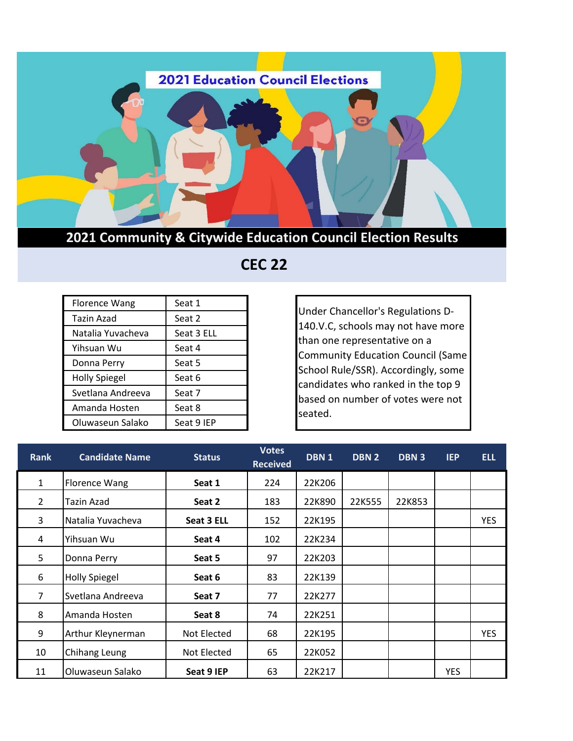

## **2021 Community & Citywide Education Council Election Results**

## **CEC 22**

| <b>Florence Wang</b> | Seat 1     |
|----------------------|------------|
| Tazin Azad           | Seat 2     |
| Natalia Yuvacheva    | Seat 3 ELL |
| Yihsuan Wu           | Seat 4     |
| Donna Perry          | Seat 5     |
| <b>Holly Spiegel</b> | Seat 6     |
| Svetlana Andreeva    | Seat 7     |
| Amanda Hosten        | Seat 8     |
| Oluwaseun Salako     | Seat 9 IEP |

Under Chancellor's Regulations D-140.V.C, schools may not have more than one representative on a Community Education Council (Same School Rule/SSR). Accordingly, some candidates who ranked in the top 9 based on number of votes were not seated.

| <b>Rank</b>    | <b>Candidate Name</b> | <b>Status</b> | <b>Votes</b><br><b>Received</b> | DBN 1  | <b>DBN 2</b> | DBN 3  | <b>IEP</b> | <b>ELL</b> |
|----------------|-----------------------|---------------|---------------------------------|--------|--------------|--------|------------|------------|
| 1              | <b>Florence Wang</b>  | Seat 1        | 224                             | 22K206 |              |        |            |            |
| 2              | Tazin Azad            | Seat 2        | 183                             | 22K890 | 22K555       | 22K853 |            |            |
| 3              | Natalia Yuvacheva     | Seat 3 ELL    | 152                             | 22K195 |              |        |            | <b>YES</b> |
| 4              | Yihsuan Wu            | Seat 4        | 102                             | 22K234 |              |        |            |            |
| 5              | Donna Perry           | Seat 5        | 97                              | 22K203 |              |        |            |            |
| 6              | <b>Holly Spiegel</b>  | Seat 6        | 83                              | 22K139 |              |        |            |            |
| $\overline{7}$ | Svetlana Andreeva     | Seat 7        | 77                              | 22K277 |              |        |            |            |
| 8              | Amanda Hosten         | Seat 8        | 74                              | 22K251 |              |        |            |            |
| 9              | Arthur Kleynerman     | Not Elected   | 68                              | 22K195 |              |        |            | <b>YES</b> |
| 10             | Chihang Leung         | Not Elected   | 65                              | 22K052 |              |        |            |            |
| 11             | Oluwaseun Salako      | Seat 9 IEP    | 63                              | 22K217 |              |        | <b>YES</b> |            |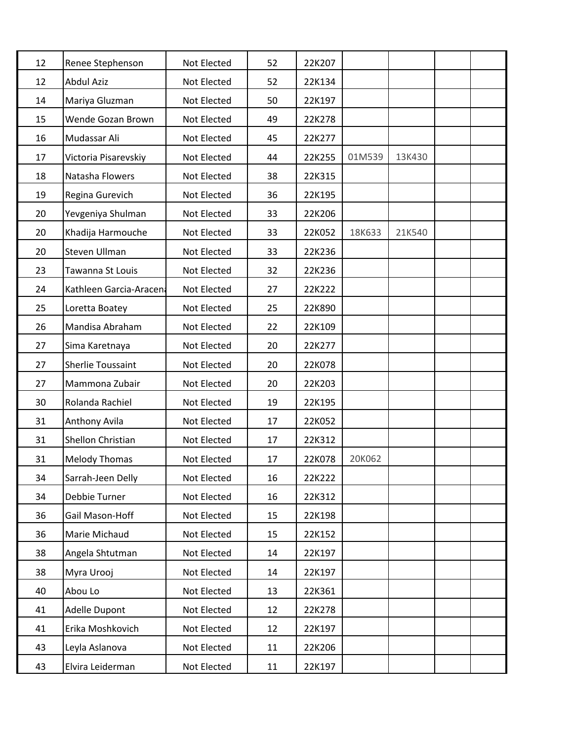| 12 | Renee Stephenson         | Not Elected | 52 | 22K207 |        |        |  |
|----|--------------------------|-------------|----|--------|--------|--------|--|
| 12 | <b>Abdul Aziz</b>        | Not Elected | 52 | 22K134 |        |        |  |
| 14 | Mariya Gluzman           | Not Elected | 50 | 22K197 |        |        |  |
| 15 | Wende Gozan Brown        | Not Elected | 49 | 22K278 |        |        |  |
| 16 | Mudassar Ali             | Not Elected | 45 | 22K277 |        |        |  |
| 17 | Victoria Pisarevskiy     | Not Elected | 44 | 22K255 | 01M539 | 13K430 |  |
| 18 | Natasha Flowers          | Not Elected | 38 | 22K315 |        |        |  |
| 19 | Regina Gurevich          | Not Elected | 36 | 22K195 |        |        |  |
| 20 | Yevgeniya Shulman        | Not Elected | 33 | 22K206 |        |        |  |
| 20 | Khadija Harmouche        | Not Elected | 33 | 22K052 | 18K633 | 21K540 |  |
| 20 | Steven Ullman            | Not Elected | 33 | 22K236 |        |        |  |
| 23 | Tawanna St Louis         | Not Elected | 32 | 22K236 |        |        |  |
| 24 | Kathleen Garcia-Aracen   | Not Elected | 27 | 22K222 |        |        |  |
| 25 | Loretta Boatey           | Not Elected | 25 | 22K890 |        |        |  |
| 26 | Mandisa Abraham          | Not Elected | 22 | 22K109 |        |        |  |
| 27 | Sima Karetnaya           | Not Elected | 20 | 22K277 |        |        |  |
| 27 | <b>Sherlie Toussaint</b> | Not Elected | 20 | 22K078 |        |        |  |
| 27 | Mammona Zubair           | Not Elected | 20 | 22K203 |        |        |  |
| 30 | Rolanda Rachiel          | Not Elected | 19 | 22K195 |        |        |  |
| 31 | Anthony Avila            | Not Elected | 17 | 22K052 |        |        |  |
| 31 | Shellon Christian        | Not Elected | 17 | 22K312 |        |        |  |
| 31 | <b>Melody Thomas</b>     | Not Elected | 17 | 22K078 | 20K062 |        |  |
| 34 | Sarrah-Jeen Delly        | Not Elected | 16 | 22K222 |        |        |  |
| 34 | Debbie Turner            | Not Elected | 16 | 22K312 |        |        |  |
| 36 | Gail Mason-Hoff          | Not Elected | 15 | 22K198 |        |        |  |
| 36 | Marie Michaud            | Not Elected | 15 | 22K152 |        |        |  |
| 38 | Angela Shtutman          | Not Elected | 14 | 22K197 |        |        |  |
| 38 | Myra Urooj               | Not Elected | 14 | 22K197 |        |        |  |
| 40 | Abou Lo                  | Not Elected | 13 | 22K361 |        |        |  |
| 41 | Adelle Dupont            | Not Elected | 12 | 22K278 |        |        |  |
| 41 | Erika Moshkovich         | Not Elected | 12 | 22K197 |        |        |  |
| 43 | Leyla Aslanova           | Not Elected | 11 | 22K206 |        |        |  |
| 43 | Elvira Leiderman         | Not Elected | 11 | 22K197 |        |        |  |